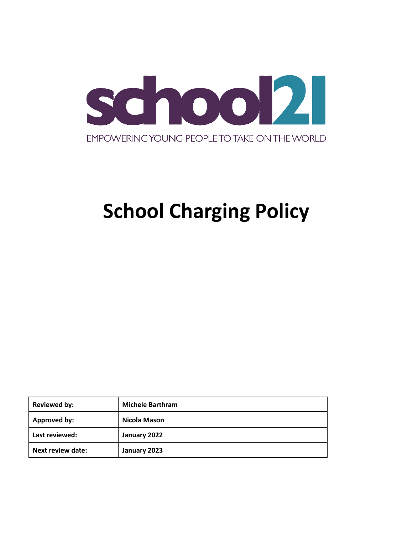

# **School Charging Policy**

| <b>Reviewed by:</b>      | <b>Michele Barthram</b> |
|--------------------------|-------------------------|
| <b>Approved by:</b>      | Nicola Mason            |
| Last reviewed:           | January 2022            |
| <b>Next review date:</b> | January 2023            |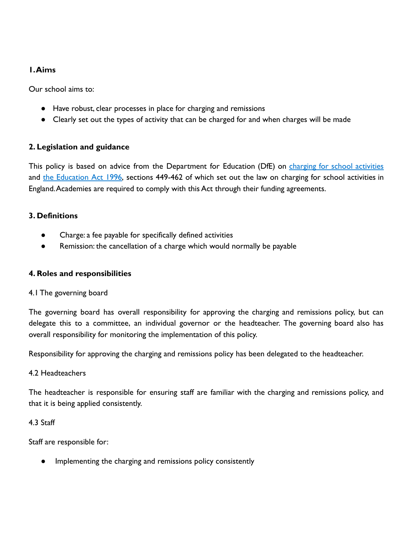# **1.Aims**

Our school aims to:

- Have robust, clear processes in place for charging and remissions
- Clearly set out the types of activity that can be charged for and when charges will be made

# **2. Legislation and guidance**

This policy is based on advice from the Department for Education (DfE) on charging for school [activities](https://www.gov.uk/government/publications/charging-for-school-activities) and the [Education](http://www.legislation.gov.uk/ukpga/1996/56/part/VI/chapter/III) Act 1996, sections 449-462 of which set out the law on charging for school activities in England.Academies are required to comply with this Act through their funding agreements.

# **3. Definitions**

- Charge: a fee payable for specifically defined activities
- Remission: the cancellation of a charge which would normally be payable

## **4. Roles and responsibilities**

## 4.1 The governing board

The governing board has overall responsibility for approving the charging and remissions policy, but can delegate this to a committee, an individual governor or the headteacher. The governing board also has overall responsibility for monitoring the implementation of this policy.

Responsibility for approving the charging and remissions policy has been delegated to the headteacher.

## 4.2 Headteachers

The headteacher is responsible for ensuring staff are familiar with the charging and remissions policy, and that it is being applied consistently.

## 4.3 Staff

Staff are responsible for:

Implementing the charging and remissions policy consistently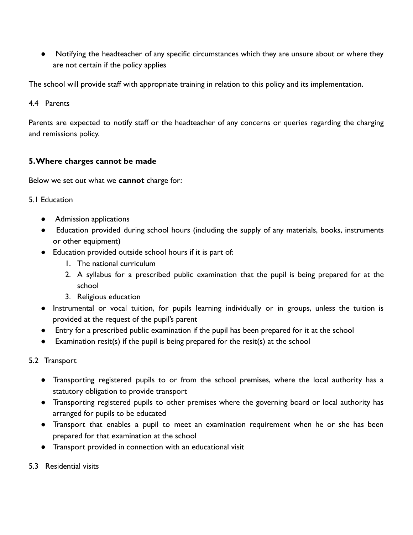Notifying the headteacher of any specific circumstances which they are unsure about or where they are not certain if the policy applies

The school will provide staff with appropriate training in relation to this policy and its implementation.

## 4.4 Parents

Parents are expected to notify staff or the headteacher of any concerns or queries regarding the charging and remissions policy.

## **5.Where charges cannot be made**

Below we set out what we **cannot** charge for:

## 5.1 Education

- Admission applications
- Education provided during school hours (including the supply of any materials, books, instruments or other equipment)
- Education provided outside school hours if it is part of:
	- 1. The national curriculum
	- 2. A syllabus for a prescribed public examination that the pupil is being prepared for at the school
	- 3. Religious education
- Instrumental or vocal tuition, for pupils learning individually or in groups, unless the tuition is provided at the request of the pupil's parent
- Entry for a prescribed public examination if the pupil has been prepared for it at the school
- Examination resit(s) if the pupil is being prepared for the resit(s) at the school
- 5.2 Transport
	- Transporting registered pupils to or from the school premises, where the local authority has a statutory obligation to provide transport
	- Transporting registered pupils to other premises where the governing board or local authority has arranged for pupils to be educated
	- Transport that enables a pupil to meet an examination requirement when he or she has been prepared for that examination at the school
	- Transport provided in connection with an educational visit
- 5.3 Residential visits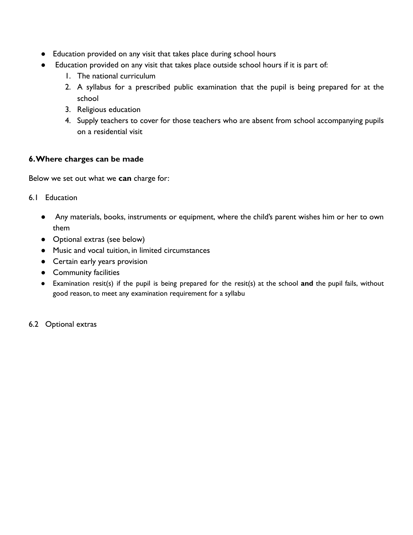- Education provided on any visit that takes place during school hours
- Education provided on any visit that takes place outside school hours if it is part of:
	- 1. The national curriculum
	- 2. A syllabus for a prescribed public examination that the pupil is being prepared for at the school
	- 3. Religious education
	- 4. Supply teachers to cover for those teachers who are absent from school accompanying pupils on a residential visit

## **6.Where charges can be made**

Below we set out what we **can** charge for:

- 6.1 Education
	- Any materials, books, instruments or equipment, where the child's parent wishes him or her to own them
	- Optional extras (see below)
	- Music and vocal tuition, in limited circumstances
	- Certain early years provision
	- Community facilities
	- Examination resit(s) if the pupil is being prepared for the resit(s) at the school **and** the pupil fails, without good reason, to meet any examination requirement for a syllabu
- 6.2 Optional extras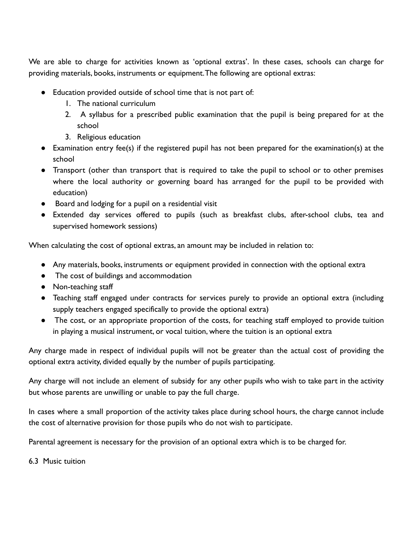We are able to charge for activities known as 'optional extras'. In these cases, schools can charge for providing materials, books, instruments or equipment.The following are optional extras:

- Education provided outside of school time that is not part of:
	- 1. The national curriculum
	- 2. A syllabus for a prescribed public examination that the pupil is being prepared for at the school
	- 3. Religious education
- Examination entry fee(s) if the registered pupil has not been prepared for the examination(s) at the school
- Transport (other than transport that is required to take the pupil to school or to other premises where the local authority or governing board has arranged for the pupil to be provided with education)
- Board and lodging for a pupil on a residential visit
- Extended day services offered to pupils (such as breakfast clubs, after-school clubs, tea and supervised homework sessions)

When calculating the cost of optional extras, an amount may be included in relation to:

- Any materials, books, instruments or equipment provided in connection with the optional extra
- The cost of buildings and accommodation
- Non-teaching staff
- Teaching staff engaged under contracts for services purely to provide an optional extra (including supply teachers engaged specifically to provide the optional extra)
- The cost, or an appropriate proportion of the costs, for teaching staff employed to provide tuition in playing a musical instrument, or vocal tuition, where the tuition is an optional extra

Any charge made in respect of individual pupils will not be greater than the actual cost of providing the optional extra activity, divided equally by the number of pupils participating.

Any charge will not include an element of subsidy for any other pupils who wish to take part in the activity but whose parents are unwilling or unable to pay the full charge.

In cases where a small proportion of the activity takes place during school hours, the charge cannot include the cost of alternative provision for those pupils who do not wish to participate.

Parental agreement is necessary for the provision of an optional extra which is to be charged for.

6.3 Music tuition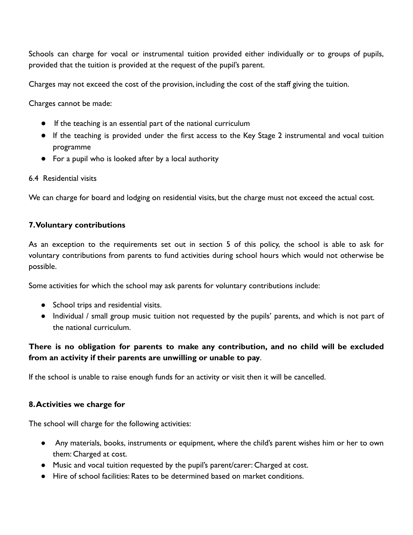Schools can charge for vocal or instrumental tuition provided either individually or to groups of pupils, provided that the tuition is provided at the request of the pupil's parent.

Charges may not exceed the cost of the provision, including the cost of the staff giving the tuition.

Charges cannot be made:

- If the teaching is an essential part of the national curriculum
- If the teaching is provided under the first access to the Key Stage 2 instrumental and vocal tuition programme
- For a pupil who is looked after by a local authority
- 6.4 Residential visits

We can charge for board and lodging on residential visits, but the charge must not exceed the actual cost.

## **7.Voluntary contributions**

As an exception to the requirements set out in section 5 of this policy, the school is able to ask for voluntary contributions from parents to fund activities during school hours which would not otherwise be possible.

Some activities for which the school may ask parents for voluntary contributions include:

- School trips and residential visits.
- **●** Individual / small group music tuition not requested by the pupils' parents, and which is not part of the national curriculum.

# **There is no obligation for parents to make any contribution, and no child will be excluded from an activity if their parents are unwilling or unable to pay**.

If the school is unable to raise enough funds for an activity or visit then it will be cancelled.

#### **8.Activities we charge for**

The school will charge for the following activities:

- **●** Any materials, books, instruments or equipment, where the child's parent wishes him or her to own them: Charged at cost.
- **●** Music and vocal tuition requested by the pupil's parent/carer: Charged at cost.
- **●** Hire of school facilities: Rates to be determined based on market conditions.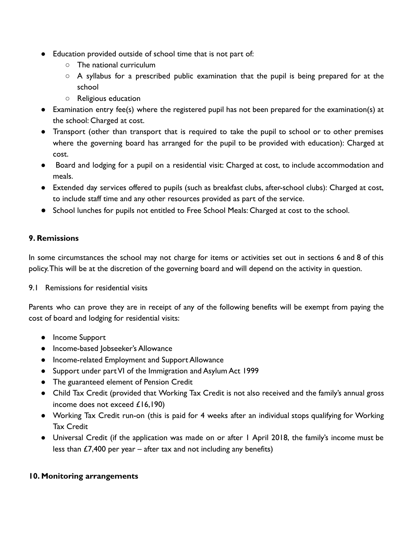- **●** Education provided outside of school time that is not part of:
	- **○** The national curriculum
	- **○** A syllabus for a prescribed public examination that the pupil is being prepared for at the school
	- **○** Religious education
- **●** Examination entry fee(s) where the registered pupil has not been prepared for the examination(s) at the school: Charged at cost.
- **●** Transport (other than transport that is required to take the pupil to school or to other premises where the governing board has arranged for the pupil to be provided with education): Charged at cost.
- **●** Board and lodging for a pupil on a residential visit: Charged at cost, to include accommodation and meals.
- **●** Extended day services offered to pupils (such as breakfast clubs, after-school clubs): Charged at cost, to include staff time and any other resources provided as part of the service.
- **●** School lunches for pupils not entitled to Free School Meals: Charged at cost to the school.

# **9. Remissions**

In some circumstances the school may not charge for items or activities set out in sections 6 and 8 of this policy.This will be at the discretion of the governing board and will depend on the activity in question.

9.1 Remissions for residential visits

Parents who can prove they are in receipt of any of the following benefits will be exempt from paying the cost of board and lodging for residential visits:

- Income Support
- Income-based Jobseeker's Allowance
- Income-related Employment and Support Allowance
- Support under part VI of the Immigration and Asylum Act 1999
- The guaranteed element of Pension Credit
- Child Tax Credit (provided that Working Tax Credit is not also received and the family's annual gross income does not exceed £16,190)
- Working Tax Credit run-on (this is paid for 4 weeks after an individual stops qualifying for Working Tax Credit
- Universal Credit (if the application was made on or after 1 April 2018, the family's income must be less than  $£7,400$  per year – after tax and not including any benefits)

## **10. Monitoring arrangements**